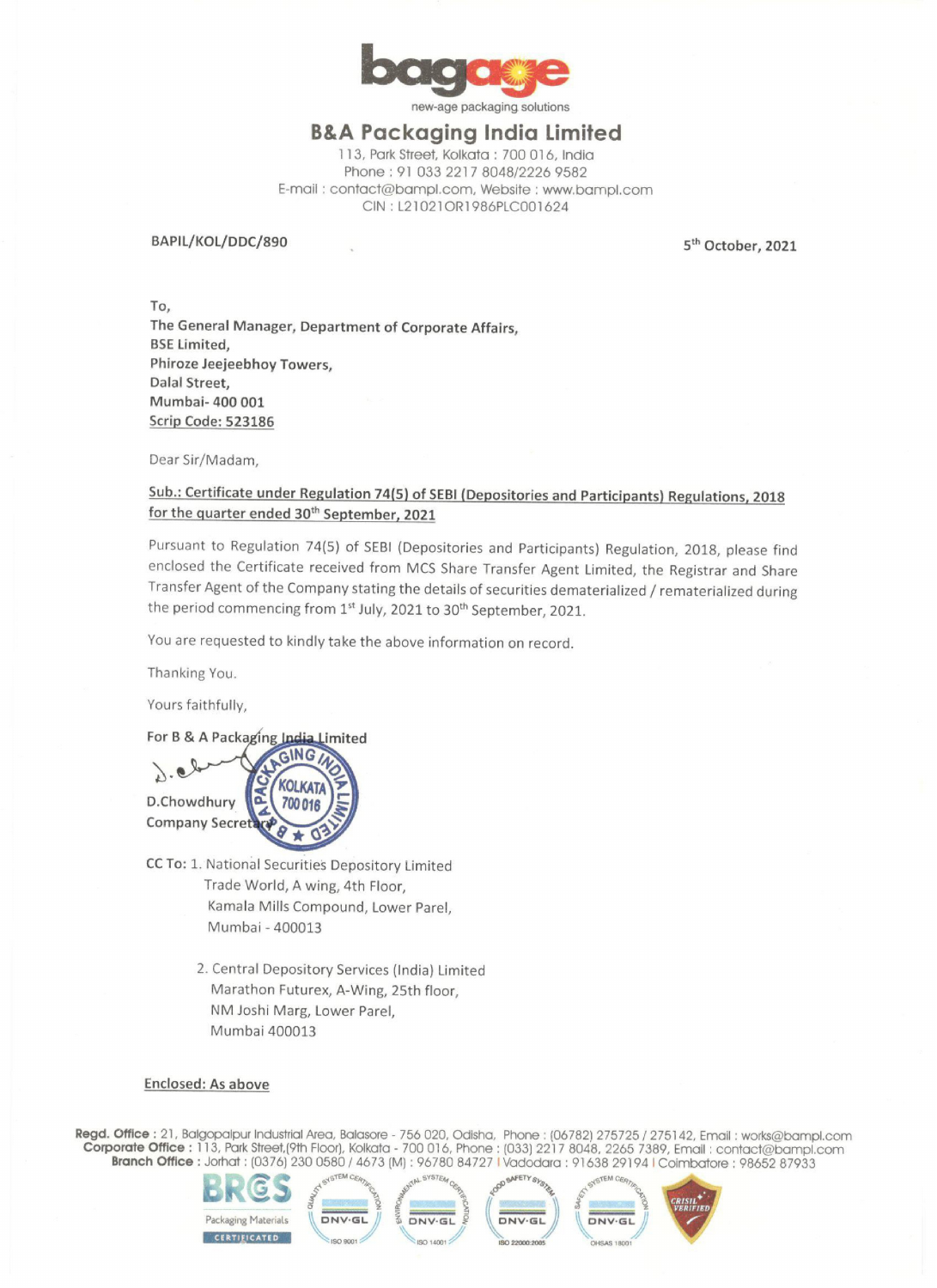

new-age packaging solutions

### B&A Packaging India Limited

113, Park Street, Kolkata : 700 016, India Phone : 91 033 2217 8048/2226 9582 E-mail ; contact@bampl.com, Website : www.bampl.com CIN: L21021OR1986PLC001624

BAPIL/KOL/DDC/890 5<sup>th</sup> October, 2021

To, The General Manager, Department of Corporate Affairs, BSE Limited, Phiroze Jeejeebhoy Towers, Dalal Street, Mumbai- 400 001 Scrip Code: 523186

Dear Sir/Madam,

## Sub.: Certificate under Regulation 74(5) of SEBI (Depositories and Participants) Regulations, 2018 for the quarter ended 30<sup>th</sup> September, 2021

Pursuant to Regulation 74(5) of SEBI (Depositories and Participants) Regulation, 2018, please find enclosed the Certificate received from MCS Share Transfer Agent Limited, the Registrar and Share Transfer Agent of the Company stating the details of securities dematerialized / rematerialized during the period commencing from 1<sup>st</sup> July, 2021 to 30<sup>th</sup> September, 2021.

You are requested to kindly take the above information on record.

Thanking You.

Yours faithfully,



- Thanking You.<br>
Yours faithfully,<br>
So Pa & A Packaging India Limited<br>
D. Chowdhury<br>
Company Secretics (MOLKATA)<br>
Company Secretics (MOLKATA)<br>
Company Secretics (MOLKATA)<br>
Translate World, A wing, 4th Floor,<br>
Kamala Mills C CC To: 1. National Securities Depository Limited Trade World, A wing, 4th Floor, Kamala Mills Compound, Lower Parel, Mumbai - 400013
	- 2. Central Depository Services (India) Limited Marathon Futurex, A-Wing, 25th floor, NM Joshi Marg, Lower Parel, Mumbai 400013

#### Enclosed: As above

Regd. Office : 21, Balgopalpur Industrial Area, Balasore - 756 020, Odisha, Phone : (06782) 275725 / 275142, Email : works@bampl.com Corporate Office : 113, Park Street,(9th Floor), Kolkata - 700 016, Phone : (033) 2217 8048, 2265 7389, Emall : contact@bampl.com **Office** : 21, Balgopalpur Industrial Area, Balasore - 756 020, Odisha, Phone : (06782) 275725 / 275142, Email : works@bampl<br>**orate Office :** 113, Park Street,(9th Floor), Kolkata - 700 016, Phone : (033) 2217 8048, 2265 7